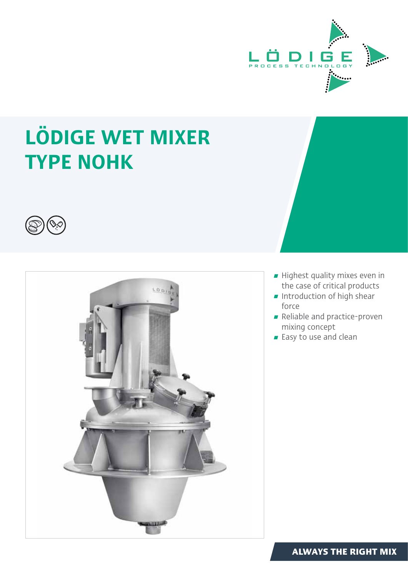

# LÖDIGE WET MIXER TYPE NOHK





- $\blacksquare$  Highest quality mixes even in the case of critical products
- $\blacksquare$  Introduction of high shear force
- Reliable and practice-proven mixing concept
- Easy to use and clean